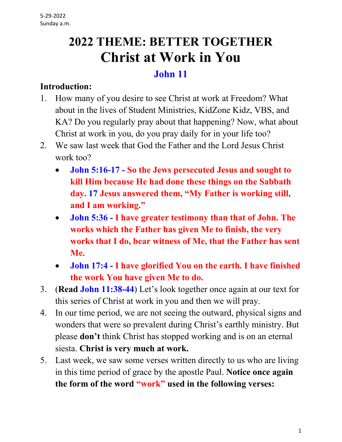# **2022 THEME: BETTER TOGETHER Christ at Work in You**

## **John 11**

#### **Introduction:**

- 1. How many of you desire to see Christ at work at Freedom? What about in the lives of Student Ministries, KidZone Kidz, VBS, and KA? Do you regularly pray about that happening? Now, what about Christ at work in you, do you pray daily for in your life too?
- 2. We saw last week that God the Father and the Lord Jesus Christ work too?
	- **John 5:16-17 - So the Jews persecuted Jesus and sought to kill Him because He had done these things on the Sabbath day. 17 Jesus answered them, "My Father is working still, and I am working."**
	- **John 5:36 - I have greater testimony than that of John. The works which the Father has given Me to finish, the very works that I do, bear witness of Me, that the Father has sent Me.**
	- **John 17:4 - I have glorified You on the earth. I have finished the work You have given Me to do.**
- 3. (**Read John 11:38-44**) Let's look together once again at our text for this series of Christ at work in you and then we will pray.
- 4. In our time period, we are not seeing the outward, physical signs and wonders that were so prevalent during Christ's earthly ministry. But please **don't** think Christ has stopped working and is on an eternal siesta. **Christ is very much at work.**
- 5. Last week, we saw some verses written directly to us who are living in this time period of grace by the apostle Paul. **Notice once again the form of the word "work" used in the following verses:**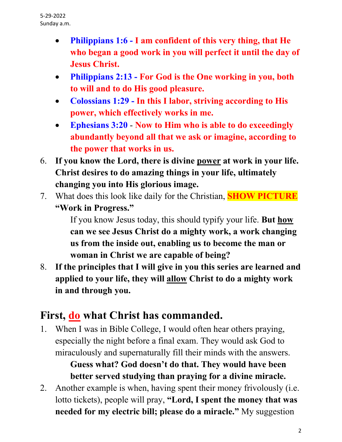- **Philippians 1:6 - I am confident of this very thing, that He who began a good work in you will perfect it until the day of Jesus Christ.**
- **Philippians 2:13 - For God is the One working in you, both to will and to do His good pleasure.**
- **Colossians 1:29 - In this I labor, striving according to His power, which effectively works in me.**
- **Ephesians 3:20 Now to Him who is able to do exceedingly abundantly beyond all that we ask or imagine, according to the power that works in us.**
- 6. **If you know the Lord, there is divine power at work in your life. Christ desires to do amazing things in your life, ultimately changing you into His glorious image.**
- 7. What does this look like daily for the Christian, **SHOW PICTURE "Work in Progress."**

 If you know Jesus today, this should typify your life. **But how can we see Jesus Christ do a mighty work, a work changing us from the inside out, enabling us to become the man or woman in Christ we are capable of being?**

8. **If the principles that I will give in you this series are learned and applied to your life, they will allow Christ to do a mighty work in and through you.**

# **First, do what Christ has commanded.**

1. When I was in Bible College, I would often hear others praying, especially the night before a final exam. They would ask God to miraculously and supernaturally fill their minds with the answers.

> **Guess what? God doesn't do that. They would have been better served studying than praying for a divine miracle.**

2. Another example is when, having spent their money frivolously (i.e. lotto tickets), people will pray, **"Lord, I spent the money that was needed for my electric bill; please do a miracle."** My suggestion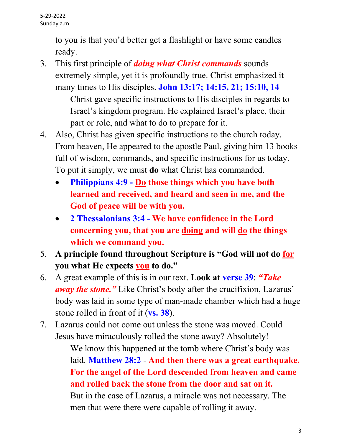to you is that you'd better get a flashlight or have some candles ready.

3. This first principle of *doing what Christ commands* sounds extremely simple, yet it is profoundly true. Christ emphasized it many times to His disciples. **John 13:17; 14:15, 21; 15:10, 14**

> Christ gave specific instructions to His disciples in regards to Israel's kingdom program. He explained Israel's place, their part or role, and what to do to prepare for it.

- 4. Also, Christ has given specific instructions to the church today. From heaven, He appeared to the apostle Paul, giving him 13 books full of wisdom, commands, and specific instructions for us today. To put it simply, we must **do** what Christ has commanded.
	- **Philippians 4:9 - Do those things which you have both learned and received, and heard and seen in me, and the God of peace will be with you.**
	- **2 Thessalonians 3:4 - We have confidence in the Lord concerning you, that you are doing and will do the things which we command you.**
- 5. **A principle found throughout Scripture is "God will not do for you what He expects you to do."**
- 6. A great example of this is in our text. **Look at verse 39**: *"Take away the stone."* Like Christ's body after the crucifixion, Lazarus' body was laid in some type of man-made chamber which had a huge stone rolled in front of it (**vs. 38**).
- 7. Lazarus could not come out unless the stone was moved. Could Jesus have miraculously rolled the stone away? Absolutely!

 We know this happened at the tomb where Christ's body was laid. **Matthew 28:2** - **And then there was a great earthquake. For the angel of the Lord descended from heaven and came and rolled back the stone from the door and sat on it.** But in the case of Lazarus, a miracle was not necessary. The men that were there were capable of rolling it away.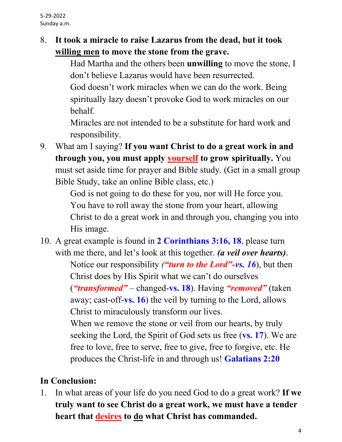#### 8. **It took a miracle to raise Lazarus from the dead, but it took willing men to move the stone from the grave.**

 Had Martha and the others been **unwilling** to move the stone, I don't believe Lazarus would have been resurrected. God doesn't work miracles when we can do the work. Being

spiritually lazy doesn't provoke God to work miracles on our behalf.

 Miracles are not intended to be a substitute for hard work and responsibility.

9. What am I saying? **If you want Christ to do a great work in and through you, you must apply yourself to grow spiritually.** You must set aside time for prayer and Bible study. (Get in a small group Bible Study, take an online Bible class, etc.)

> God is not going to do these for you, nor will He force you. You have to roll away the stone from your heart, allowing Christ to do a great work in and through you, changing you into His image.

10. A great example is found in **2 Corinthians 3:16, 18**, please turn with me there, and let's look at this together. *(a veil over hearts)*.

 Notice our responsibility *("turn to the Lord"-vs. 16*), but then Christ does by His Spirit what we can't do ourselves (*"transformed"* – changed-**vs. 18**). Having *"removed"* (taken away; cast-off-**vs. 16**) the veil by turning to the Lord, allows Christ to miraculously transform our lives.

 When we remove the stone or veil from our hearts, by truly seeking the Lord, the Spirit of God sets us free (**vs. 17**). We are free to love, free to serve, free to give, free to forgive, etc. He produces the Christ-life in and through us! **Galatians 2:20**

### **In Conclusion:**

1. In what areas of your life do you need God to do a great work? **If we truly want to see Christ do a great work, we must have a tender heart that desires to do what Christ has commanded.**